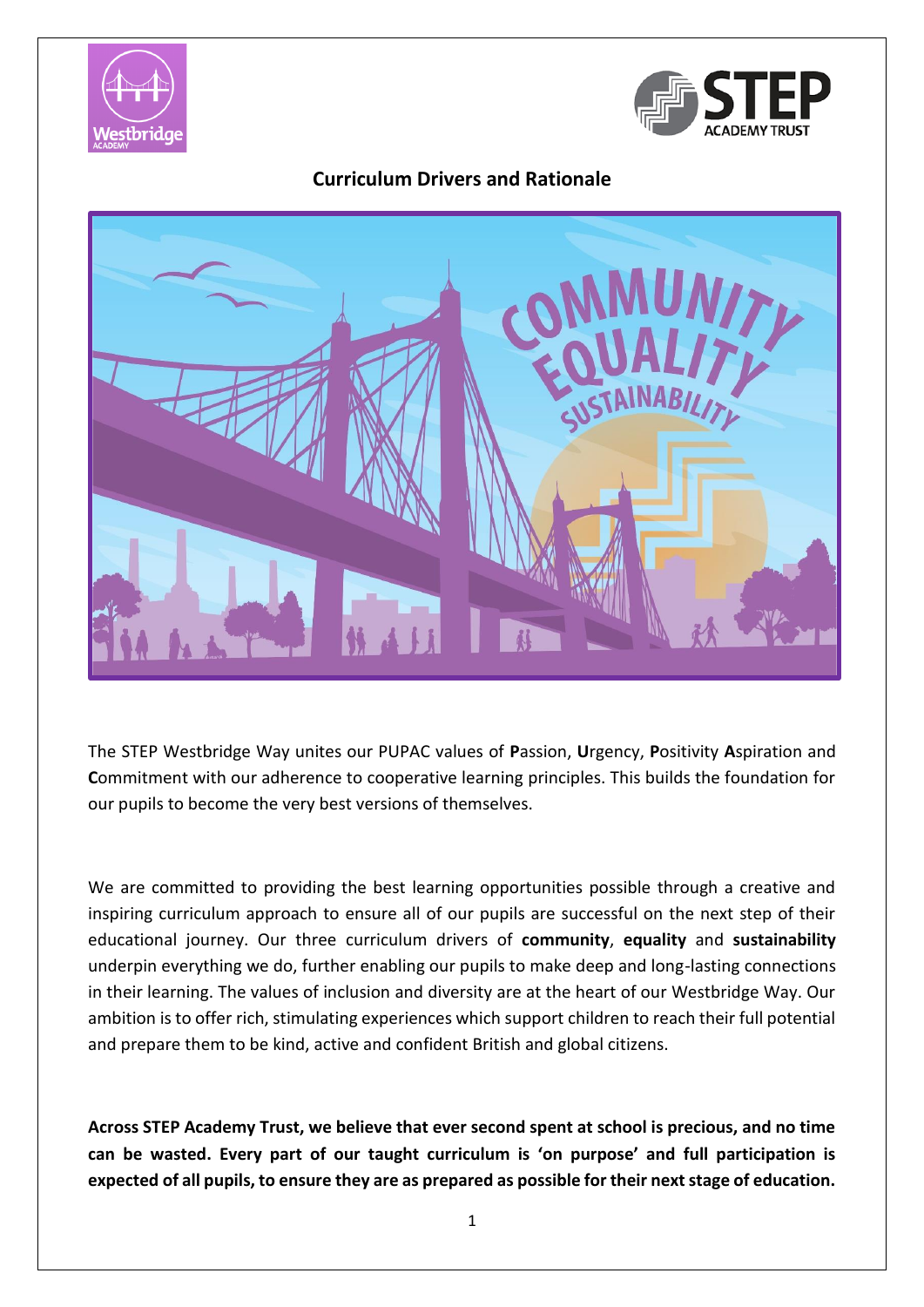



## **Curriculum Drivers and Rationale**



The STEP Westbridge Way unites our PUPAC values of **P**assion, **U**rgency, **P**ositivity **A**spiration and **C**ommitment with our adherence to cooperative learning principles. This builds the foundation for our pupils to become the very best versions of themselves.

We are committed to providing the best learning opportunities possible through a creative and inspiring curriculum approach to ensure all of our pupils are successful on the next step of their educational journey. Our three curriculum drivers of **community**, **equality** and **sustainability** underpin everything we do, further enabling our pupils to make deep and long-lasting connections in their learning. The values of inclusion and diversity are at the heart of our Westbridge Way. Our ambition is to offer rich, stimulating experiences which support children to reach their full potential and prepare them to be kind, active and confident British and global citizens.

**Across STEP Academy Trust, we believe that ever second spent at school is precious, and no time can be wasted. Every part of our taught curriculum is 'on purpose' and full participation is expected of all pupils, to ensure they are as prepared as possible for their next stage of education.**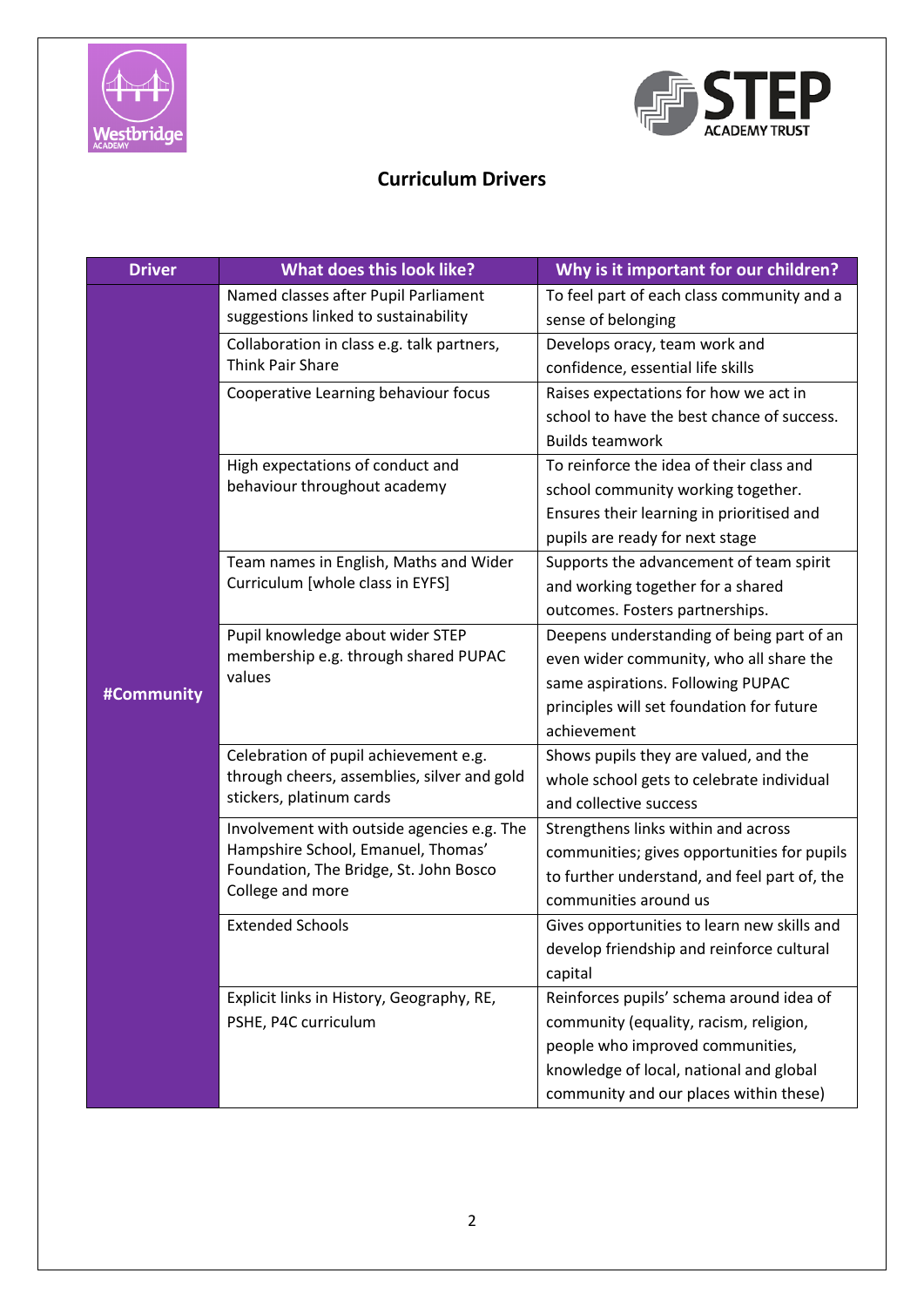



## **Curriculum Drivers**

| <b>Driver</b> | What does this look like?                                                                                                                      | Why is it important for our children?        |
|---------------|------------------------------------------------------------------------------------------------------------------------------------------------|----------------------------------------------|
|               | Named classes after Pupil Parliament                                                                                                           | To feel part of each class community and a   |
|               | suggestions linked to sustainability                                                                                                           | sense of belonging                           |
|               | Collaboration in class e.g. talk partners,                                                                                                     | Develops oracy, team work and                |
|               | <b>Think Pair Share</b>                                                                                                                        | confidence, essential life skills            |
|               | Cooperative Learning behaviour focus                                                                                                           | Raises expectations for how we act in        |
|               |                                                                                                                                                | school to have the best chance of success.   |
|               |                                                                                                                                                | <b>Builds teamwork</b>                       |
|               | High expectations of conduct and                                                                                                               | To reinforce the idea of their class and     |
|               | behaviour throughout academy                                                                                                                   | school community working together.           |
|               |                                                                                                                                                | Ensures their learning in prioritised and    |
|               |                                                                                                                                                | pupils are ready for next stage              |
|               | Team names in English, Maths and Wider                                                                                                         | Supports the advancement of team spirit      |
|               | Curriculum [whole class in EYFS]                                                                                                               | and working together for a shared            |
|               |                                                                                                                                                | outcomes. Fosters partnerships.              |
|               | Pupil knowledge about wider STEP                                                                                                               | Deepens understanding of being part of an    |
|               | membership e.g. through shared PUPAC                                                                                                           | even wider community, who all share the      |
| #Community    | values                                                                                                                                         | same aspirations. Following PUPAC            |
|               |                                                                                                                                                | principles will set foundation for future    |
|               |                                                                                                                                                | achievement                                  |
|               | Celebration of pupil achievement e.g.                                                                                                          | Shows pupils they are valued, and the        |
|               | through cheers, assemblies, silver and gold<br>stickers, platinum cards                                                                        | whole school gets to celebrate individual    |
|               |                                                                                                                                                | and collective success                       |
|               | Involvement with outside agencies e.g. The<br>Hampshire School, Emanuel, Thomas'<br>Foundation, The Bridge, St. John Bosco<br>College and more | Strengthens links within and across          |
|               |                                                                                                                                                | communities; gives opportunities for pupils  |
|               |                                                                                                                                                | to further understand, and feel part of, the |
|               |                                                                                                                                                | communities around us                        |
|               | <b>Extended Schools</b>                                                                                                                        | Gives opportunities to learn new skills and  |
|               |                                                                                                                                                | develop friendship and reinforce cultural    |
|               |                                                                                                                                                | capital                                      |
|               | Explicit links in History, Geography, RE,                                                                                                      | Reinforces pupils' schema around idea of     |
|               | PSHE, P4C curriculum                                                                                                                           | community (equality, racism, religion,       |
|               |                                                                                                                                                | people who improved communities,             |
|               |                                                                                                                                                | knowledge of local, national and global      |
|               |                                                                                                                                                | community and our places within these)       |